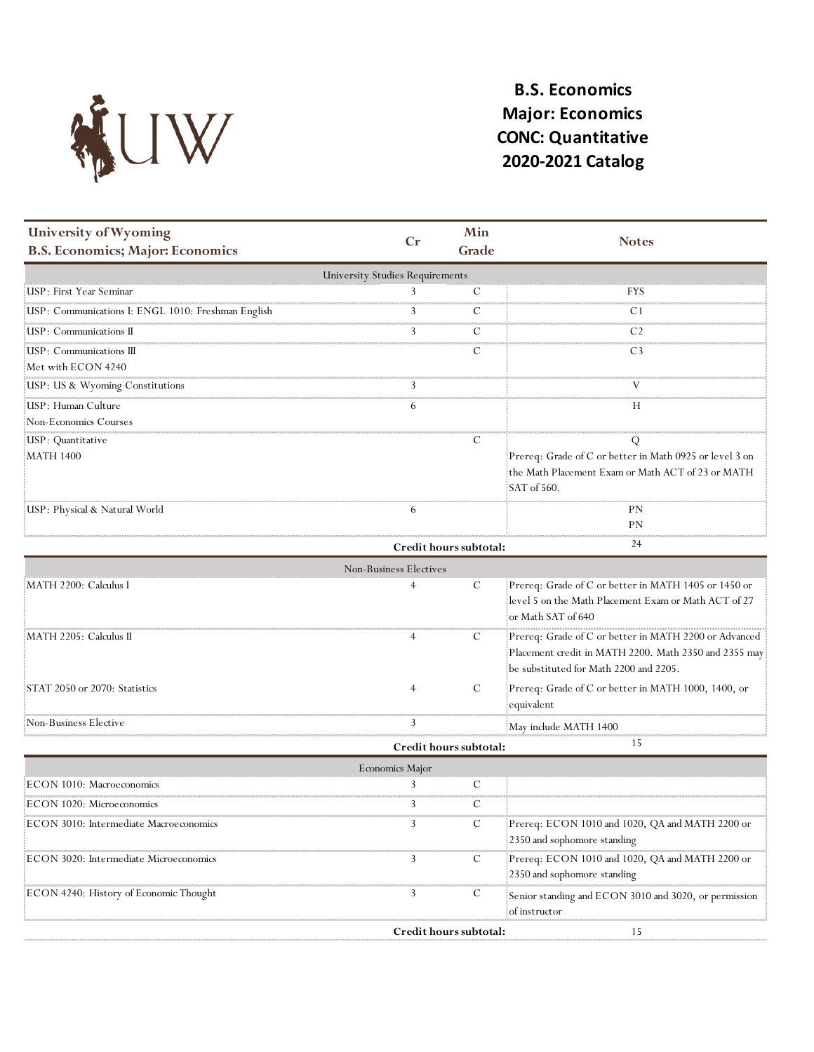

## **B.S. Economics Major: Economics CONC: Quantitative 2020-2021 Catalog**

| University of Wyoming<br><b>B.S. Economics; Major: Economics</b> | Cr | Min<br>Grade | <b>Notes</b>                                                                                                                |  |  |  |  |
|------------------------------------------------------------------|----|--------------|-----------------------------------------------------------------------------------------------------------------------------|--|--|--|--|
| <b>University Studies Requirements</b>                           |    |              |                                                                                                                             |  |  |  |  |
| USP: First Year Seminar                                          |    |              | FYS                                                                                                                         |  |  |  |  |
| USP: Communications I: ENGL 1010: Freshman English               |    |              |                                                                                                                             |  |  |  |  |
| : USP : Communications II                                        |    |              |                                                                                                                             |  |  |  |  |
| :USP: Communications III<br>Met with ECON 4240                   |    |              | C3                                                                                                                          |  |  |  |  |
| USP: US & Wyoming Constitutions                                  |    |              |                                                                                                                             |  |  |  |  |
| USP: Human Culture<br>Non-Economics Courses                      |    |              | Н                                                                                                                           |  |  |  |  |
| USP: Quantitative                                                |    | €            |                                                                                                                             |  |  |  |  |
| MATH 1400                                                        |    |              | Prereq: Grade of C or better in Math 0925 or level 3 on<br>the Math Placement Exam or Math ACT of 23 or MATH<br>SAT of 560. |  |  |  |  |
| USP: Physical & Natural World                                    |    |              | PN<br>РN                                                                                                                    |  |  |  |  |
| 24<br>Credit hours subtotal:                                     |    |              |                                                                                                                             |  |  |  |  |

|                                     | Non-Business Electives |   |                                                       |
|-------------------------------------|------------------------|---|-------------------------------------------------------|
| : MATH 2200: Calculus I             |                        |   | Prereq: Grade of C or better in MATH 1405 or 1450 or  |
|                                     |                        |   | level 5 on the Math Placement Exam or Math ACT of 27  |
|                                     |                        |   | : or Math SAT of 640                                  |
| MATH 2205: Calculus II              |                        | C | Prereq: Grade of C or better in MATH 2200 or Advanced |
|                                     |                        |   | Placement credit in MATH 2200. Math 2350 and 2355 may |
|                                     |                        |   | be substituted for Math 2200 and 2205.                |
| $\pm$ STAT 2050 or 2070: Statistics |                        |   | Prereq: Grade of C or better in MATH 1000, 1400, or   |
|                                     |                        |   | equivalent                                            |
| Non-Business Elective               |                        |   | May include MATH 1400                                 |
|                                     |                        |   |                                                       |

|                                        | Credit hours subtotal: |   |                                                                                |
|----------------------------------------|------------------------|---|--------------------------------------------------------------------------------|
|                                        | Economics Major        |   |                                                                                |
| ECON 1010: Macroeconomics              |                        |   |                                                                                |
| ECON 1020: Microeconomics              |                        |   |                                                                                |
| ECON 3010: Intermediate Macroeconomics |                        | C | Prereq: ECON 1010 and 1020, QA and MATH 2200 or<br>2350 and sophomore standing |
| ECON 3020: Intermediate Microeconomics |                        | € | Prereq: ECON 1010 and 1020, QA and MATH 2200 or<br>2350 and sophomore standing |
| ECON 4240: History of Economic Thought |                        |   | Senior standing and ECON 3010 and 3020, or permission<br>of instructor         |
|                                        | redit hours subtotal:  |   |                                                                                |